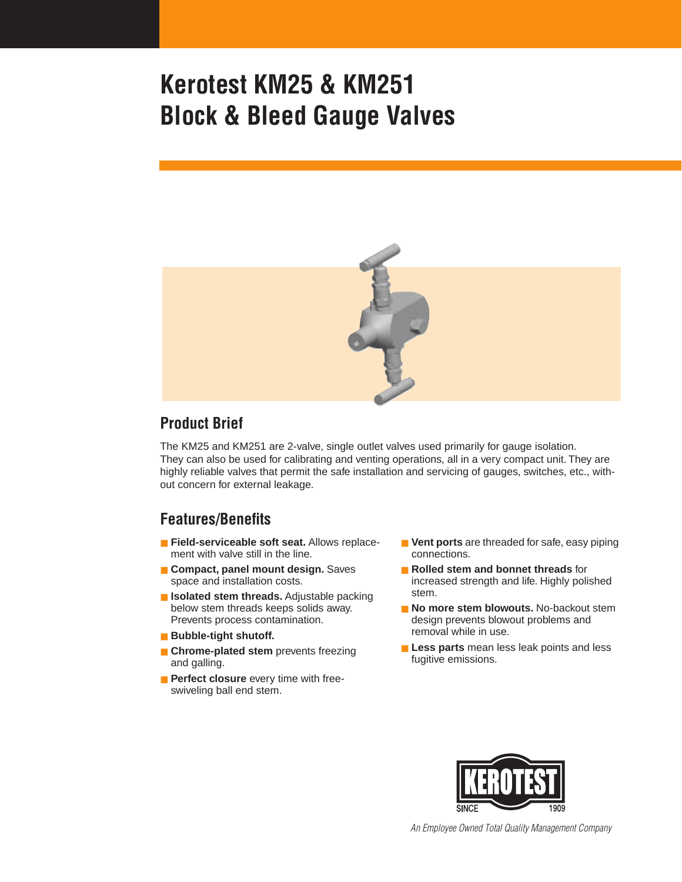

### **Product Brief**

The KM25 and KM251 are 2-valve, single outlet valves used primarily for gauge isolation. They can also be used for calibrating and venting operations, all in a very compact unit. They are highly reliable valves that permit the safe installation and servicing of gauges, switches, etc., without concern for external leakage.

## **Features/Benefits**

- **Field-serviceable soft seat.** Allows replacement with valve still in the line.
- **Compact, panel mount design.** Saves space and installation costs.
- **Isolated stem threads.** Adjustable packing below stem threads keeps solids away. Prevents process contamination.
- **Bubble-tight shutoff.**
- **E** Chrome-plated stem prevents freezing and galling.
- **Perfect closure** every time with freeswiveling ball end stem.
- **Vent ports** are threaded for safe, easy piping connections.
- **Rolled stem and bonnet threads** for increased strength and life. Highly polished stem.
- **No more stem blowouts.** No-backout stem design prevents blowout problems and removal while in use.
- **Less parts** mean less leak points and less fugitive emissions.



*An Employee Owned Total Quality Management Company*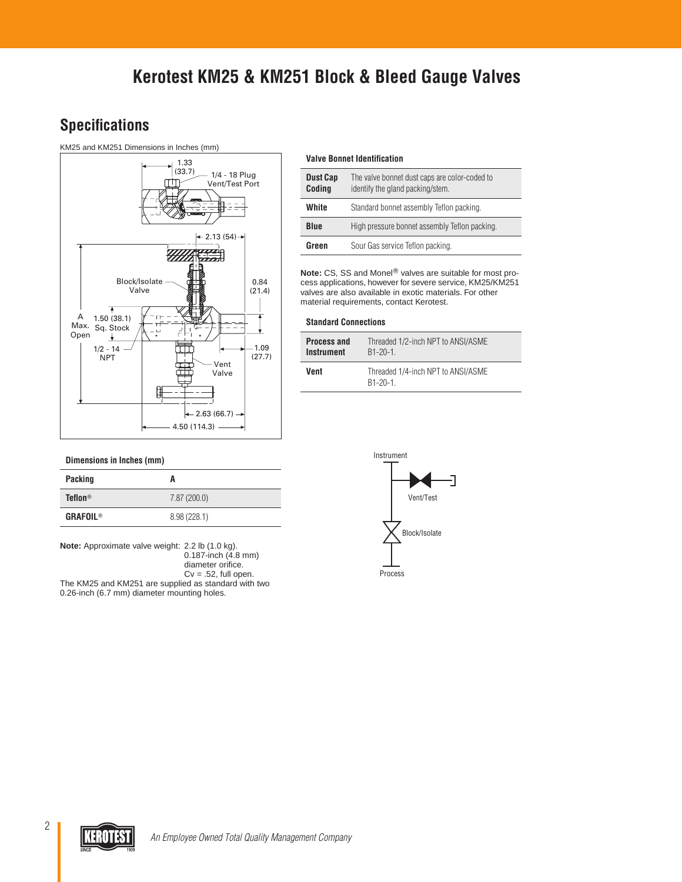## **Specifications**

### KM25 and KM251 Dimensions in Inches (mm)



#### **Dimensions in Inches (mm)**

| <b>Packing</b>  | A            |
|-----------------|--------------|
| <b>Teflon®</b>  | 7.87(200.0)  |
| <b>GRAFOIL®</b> | 8.98 (228.1) |

**Note:** Approximate valve weight: 2.2 lb (1.0 kg). 0.187-inch (4.8 mm) diameter orifice.  $Cv = .52$ , full open. The KM25 and KM251 are supplied as standard with two 0.26-inch (6.7 mm) diameter mounting holes.

#### **Valve Bonnet Identification**

| <b>Dust Cap</b><br>Coding | The valve bonnet dust caps are color-coded to<br>identify the gland packing/stem. |  |
|---------------------------|-----------------------------------------------------------------------------------|--|
| <b>White</b>              | Standard bonnet assembly Teflon packing.                                          |  |
| <b>Blue</b>               | High pressure bonnet assembly Teflon packing.                                     |  |
| Green                     | Sour Gas service Teflon packing.                                                  |  |

**Note:** CS, SS and Monel<sup>®</sup> valves are suitable for most process applications, however for severe service, KM25/KM251 valves are also available in exotic materials. For other material requirements, contact Kerotest.

#### **Standard Connections**

| <b>Process and</b> | Threaded 1/2-inch NPT to ANSI/ASME            |
|--------------------|-----------------------------------------------|
| <b>Instrument</b>  | $B1 - 20 - 1$                                 |
| Vent               | Threaded 1/4-inch NPT to ANSI/ASME<br>B1-20-1 |



2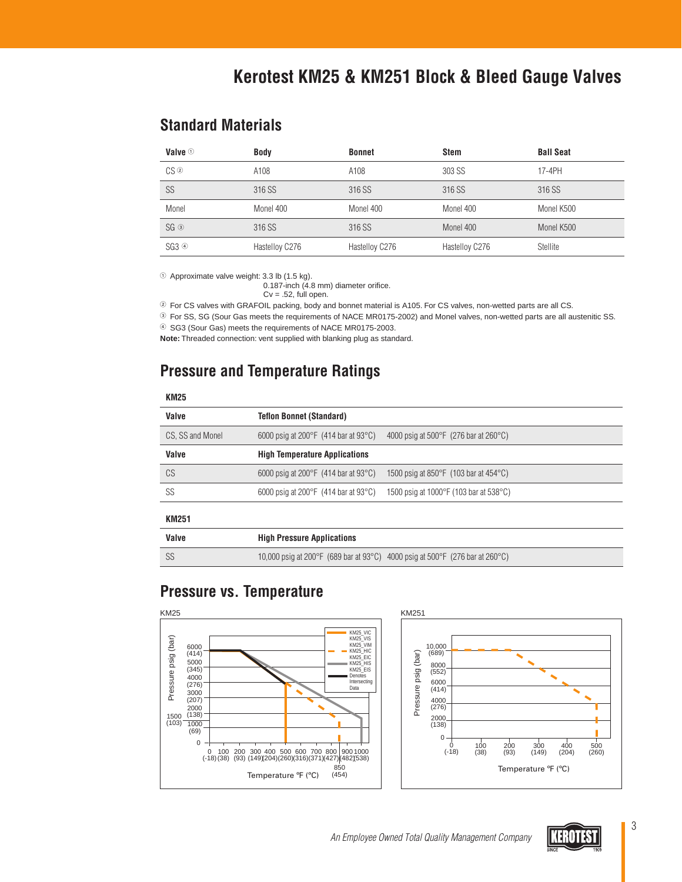### **Standard Materials**

| Valve $\odot$       | <b>Body</b>    | <b>Bonnet</b>  | <b>Stem</b>    | <b>Ball Seat</b> |
|---------------------|----------------|----------------|----------------|------------------|
| $CS$ ②              | A108           | A108           | 303 SS         | 17-4PH           |
| SS                  | 316 SS         | 316 SS         | 316 SS         | 316 SS           |
| Monel               | Monel 400      | Monel 400      | Monel 400      | Monel K500       |
| $SG$ $\circledcirc$ | 316 SS         | 316 SS         | Monel 400      | Monel K500       |
| SG3@                | Hastelloy C276 | Hastelloy C276 | Hastelloy C276 | Stellite         |

Approximate valve weight: 3.3 lb (1.5 kg).

0.187-inch (4.8 mm) diameter orifice.

 $Cv = .52$ , full open.

- For CS valves with GRAFOIL packing, body and bonnet material is A105. For CS valves, non-wetted parts are all CS.

For SS, SG (Sour Gas meets the requirements of NACE MR0175-2002) and Monel valves, non-wetted parts are all austenitic SS.

SG3 (Sour Gas) meets the requirements of NACE MR0175-2003.

**Note:** Threaded connection: vent supplied with blanking plug as standard.

## **Pressure and Temperature Ratings**

### **KM25**

| Valve            | <b>Teflon Bonnet (Standard)</b>                          |                                                            |
|------------------|----------------------------------------------------------|------------------------------------------------------------|
| CS, SS and Monel | 6000 psig at 200 $\degree$ F (414 bar at 93 $\degree$ C) | 4000 psig at $500^{\circ}$ F (276 bar at 260 $^{\circ}$ C) |
| Valve            | <b>High Temperature Applications</b>                     |                                                            |
| CS               | 6000 psig at 200 $\degree$ F (414 bar at 93 $\degree$ C) | 1500 psig at 850 $\degree$ F (103 bar at 454 $\degree$ C)  |
| SS               | 6000 psig at 200 $\degree$ F (414 bar at 93 $\degree$ C) | 1500 psig at 1000 °F (103 bar at 538 °C)                   |
|                  |                                                          |                                                            |

### **KM251**

| Valve | <b>High Pressure Applications</b>                                                |
|-------|----------------------------------------------------------------------------------|
| -SS   | 10,000 psig at 200 °F (689 bar at 93 °C) 4000 psig at 500 °F (276 bar at 260 °C) |

## **Pressure vs. Temperature**